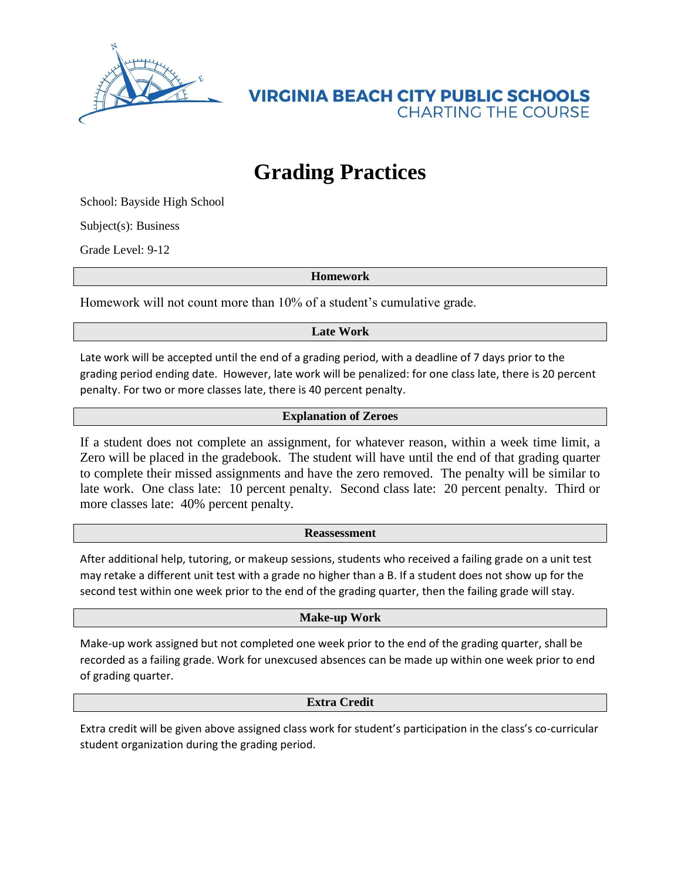

**VIRGINIA BEACH CITY PUBLIC SCHOOLS CHARTING THE COURSE** 

# **Grading Practices**

School: Bayside High School

Subject(s): Business

Grade Level: 9-12

**Homework**

Homework will not count more than 10% of a student's cumulative grade.

## **Late Work**

Late work will be accepted until the end of a grading period, with a deadline of 7 days prior to the grading period ending date. However, late work will be penalized: for one class late, there is 20 percent penalty. For two or more classes late, there is 40 percent penalty.

## **Explanation of Zeroes**

If a student does not complete an assignment, for whatever reason, within a week time limit, a Zero will be placed in the gradebook. The student will have until the end of that grading quarter to complete their missed assignments and have the zero removed. The penalty will be similar to late work. One class late: 10 percent penalty. Second class late: 20 percent penalty. Third or more classes late: 40% percent penalty.

#### **Reassessment**

After additional help, tutoring, or makeup sessions, students who received a failing grade on a unit test may retake a different unit test with a grade no higher than a B. If a student does not show up for the second test within one week prior to the end of the grading quarter, then the failing grade will stay.

#### **Make-up Work**

Make-up work assigned but not completed one week prior to the end of the grading quarter, shall be recorded as a failing grade. Work for unexcused absences can be made up within one week prior to end of grading quarter.

#### **Extra Credit**

Extra credit will be given above assigned class work for student's participation in the class's co-curricular student organization during the grading period.